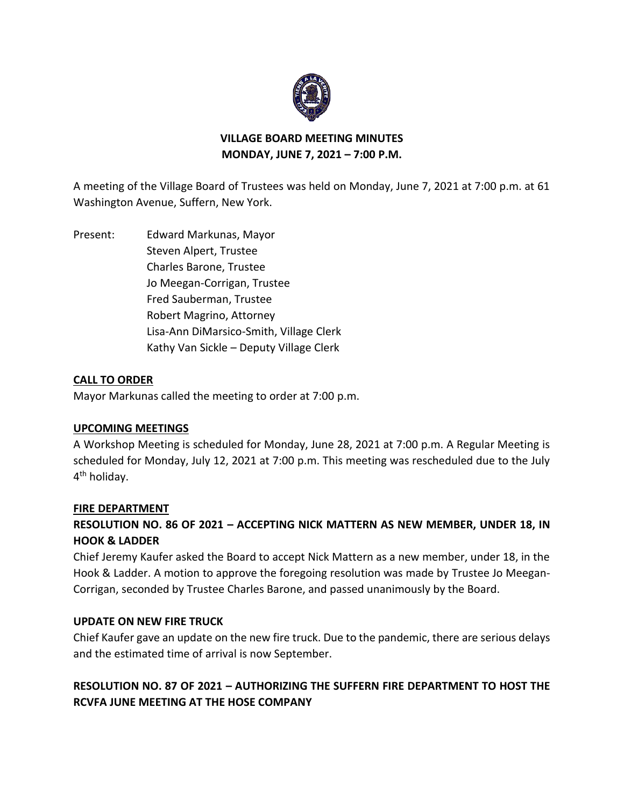

## **VILLAGE BOARD MEETING MINUTES MONDAY, JUNE 7, 2021 – 7:00 P.M.**

A meeting of the Village Board of Trustees was held on Monday, June 7, 2021 at 7:00 p.m. at 61 Washington Avenue, Suffern, New York.

Present: Edward Markunas, Mayor Steven Alpert, Trustee Charles Barone, Trustee Jo Meegan-Corrigan, Trustee Fred Sauberman, Trustee Robert Magrino, Attorney Lisa-Ann DiMarsico-Smith, Village Clerk Kathy Van Sickle – Deputy Village Clerk

## **CALL TO ORDER**

Mayor Markunas called the meeting to order at 7:00 p.m.

## **UPCOMING MEETINGS**

A Workshop Meeting is scheduled for Monday, June 28, 2021 at 7:00 p.m. A Regular Meeting is scheduled for Monday, July 12, 2021 at 7:00 p.m. This meeting was rescheduled due to the July 4<sup>th</sup> holiday.

#### **FIRE DEPARTMENT**

# **RESOLUTION NO. 86 OF 2021 – ACCEPTING NICK MATTERN AS NEW MEMBER, UNDER 18, IN HOOK & LADDER**

Chief Jeremy Kaufer asked the Board to accept Nick Mattern as a new member, under 18, in the Hook & Ladder. A motion to approve the foregoing resolution was made by Trustee Jo Meegan-Corrigan, seconded by Trustee Charles Barone, and passed unanimously by the Board.

## **UPDATE ON NEW FIRE TRUCK**

Chief Kaufer gave an update on the new fire truck. Due to the pandemic, there are serious delays and the estimated time of arrival is now September.

# **RESOLUTION NO. 87 OF 2021 – AUTHORIZING THE SUFFERN FIRE DEPARTMENT TO HOST THE RCVFA JUNE MEETING AT THE HOSE COMPANY**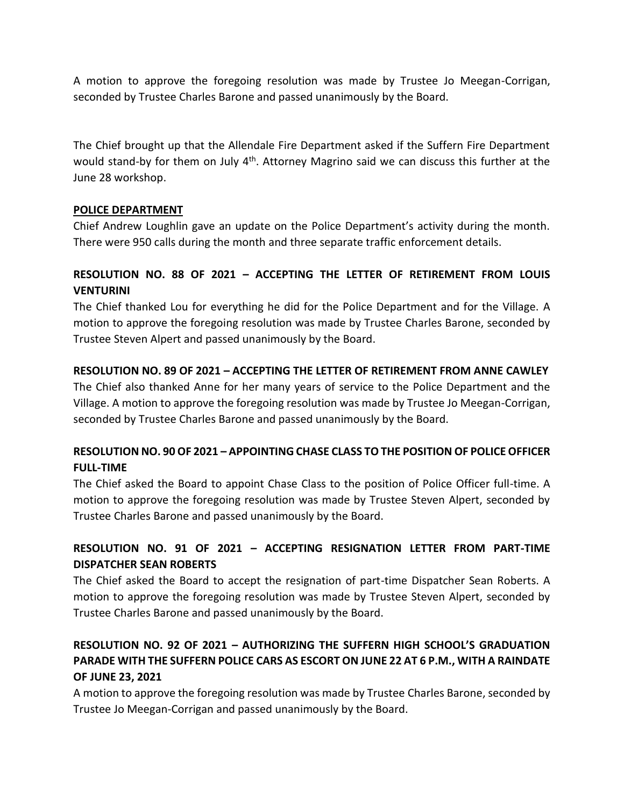A motion to approve the foregoing resolution was made by Trustee Jo Meegan-Corrigan, seconded by Trustee Charles Barone and passed unanimously by the Board.

The Chief brought up that the Allendale Fire Department asked if the Suffern Fire Department would stand-by for them on July 4<sup>th</sup>. Attorney Magrino said we can discuss this further at the June 28 workshop.

## **POLICE DEPARTMENT**

Chief Andrew Loughlin gave an update on the Police Department's activity during the month. There were 950 calls during the month and three separate traffic enforcement details.

# **RESOLUTION NO. 88 OF 2021 – ACCEPTING THE LETTER OF RETIREMENT FROM LOUIS VENTURINI**

The Chief thanked Lou for everything he did for the Police Department and for the Village. A motion to approve the foregoing resolution was made by Trustee Charles Barone, seconded by Trustee Steven Alpert and passed unanimously by the Board.

## **RESOLUTION NO. 89 OF 2021 – ACCEPTING THE LETTER OF RETIREMENT FROM ANNE CAWLEY**

The Chief also thanked Anne for her many years of service to the Police Department and the Village. A motion to approve the foregoing resolution was made by Trustee Jo Meegan-Corrigan, seconded by Trustee Charles Barone and passed unanimously by the Board.

## **RESOLUTION NO. 90 OF 2021 – APPOINTING CHASE CLASS TO THE POSITION OF POLICE OFFICER FULL-TIME**

The Chief asked the Board to appoint Chase Class to the position of Police Officer full-time. A motion to approve the foregoing resolution was made by Trustee Steven Alpert, seconded by Trustee Charles Barone and passed unanimously by the Board.

# **RESOLUTION NO. 91 OF 2021 – ACCEPTING RESIGNATION LETTER FROM PART-TIME DISPATCHER SEAN ROBERTS**

The Chief asked the Board to accept the resignation of part-time Dispatcher Sean Roberts. A motion to approve the foregoing resolution was made by Trustee Steven Alpert, seconded by Trustee Charles Barone and passed unanimously by the Board.

# **RESOLUTION NO. 92 OF 2021 – AUTHORIZING THE SUFFERN HIGH SCHOOL'S GRADUATION PARADE WITH THE SUFFERN POLICE CARS AS ESCORT ON JUNE 22 AT 6 P.M., WITH A RAINDATE OF JUNE 23, 2021**

A motion to approve the foregoing resolution was made by Trustee Charles Barone, seconded by Trustee Jo Meegan-Corrigan and passed unanimously by the Board.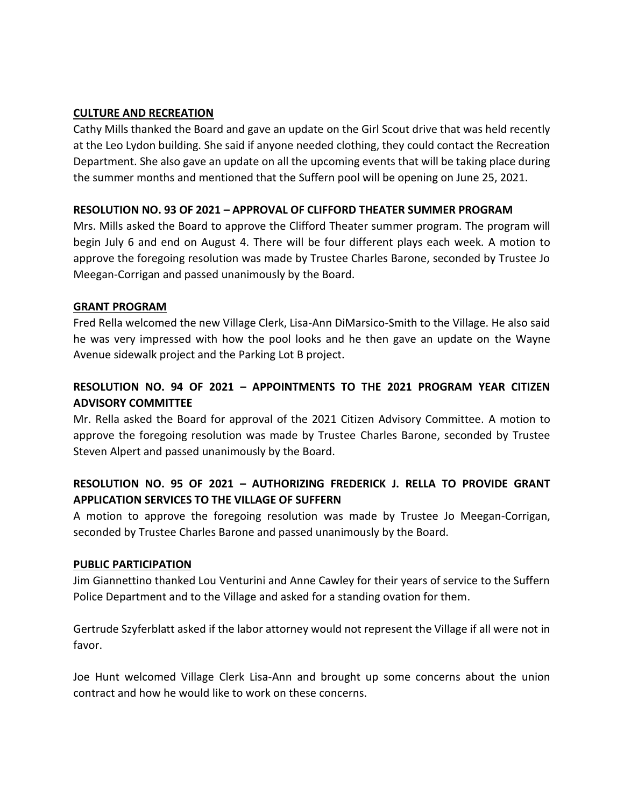### **CULTURE AND RECREATION**

Cathy Mills thanked the Board and gave an update on the Girl Scout drive that was held recently at the Leo Lydon building. She said if anyone needed clothing, they could contact the Recreation Department. She also gave an update on all the upcoming events that will be taking place during the summer months and mentioned that the Suffern pool will be opening on June 25, 2021.

## **RESOLUTION NO. 93 OF 2021 – APPROVAL OF CLIFFORD THEATER SUMMER PROGRAM**

Mrs. Mills asked the Board to approve the Clifford Theater summer program. The program will begin July 6 and end on August 4. There will be four different plays each week. A motion to approve the foregoing resolution was made by Trustee Charles Barone, seconded by Trustee Jo Meegan-Corrigan and passed unanimously by the Board.

## **GRANT PROGRAM**

Fred Rella welcomed the new Village Clerk, Lisa-Ann DiMarsico-Smith to the Village. He also said he was very impressed with how the pool looks and he then gave an update on the Wayne Avenue sidewalk project and the Parking Lot B project.

# **RESOLUTION NO. 94 OF 2021 – APPOINTMENTS TO THE 2021 PROGRAM YEAR CITIZEN ADVISORY COMMITTEE**

Mr. Rella asked the Board for approval of the 2021 Citizen Advisory Committee. A motion to approve the foregoing resolution was made by Trustee Charles Barone, seconded by Trustee Steven Alpert and passed unanimously by the Board.

# **RESOLUTION NO. 95 OF 2021 – AUTHORIZING FREDERICK J. RELLA TO PROVIDE GRANT APPLICATION SERVICES TO THE VILLAGE OF SUFFERN**

A motion to approve the foregoing resolution was made by Trustee Jo Meegan-Corrigan, seconded by Trustee Charles Barone and passed unanimously by the Board.

#### **PUBLIC PARTICIPATION**

Jim Giannettino thanked Lou Venturini and Anne Cawley for their years of service to the Suffern Police Department and to the Village and asked for a standing ovation for them.

Gertrude Szyferblatt asked if the labor attorney would not represent the Village if all were not in favor.

Joe Hunt welcomed Village Clerk Lisa-Ann and brought up some concerns about the union contract and how he would like to work on these concerns.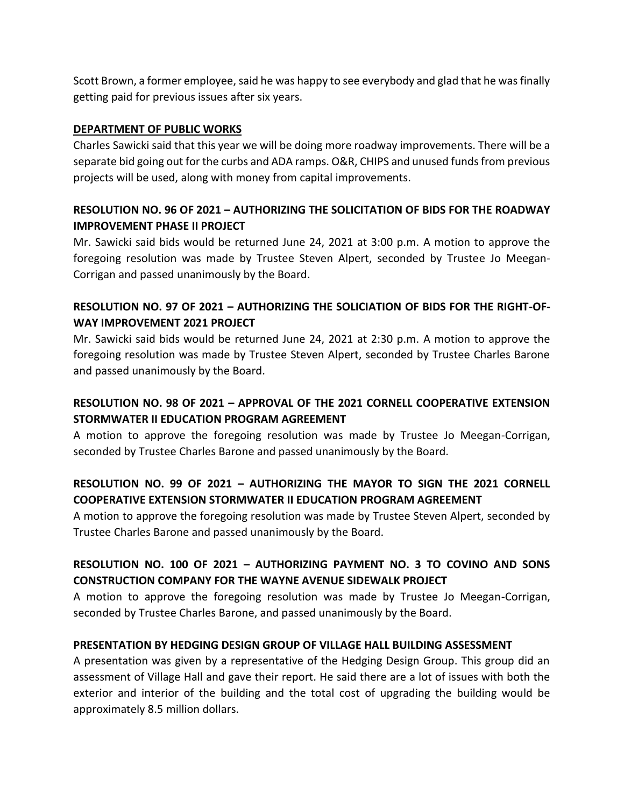Scott Brown, a former employee, said he was happy to see everybody and glad that he was finally getting paid for previous issues after six years.

## **DEPARTMENT OF PUBLIC WORKS**

Charles Sawicki said that this year we will be doing more roadway improvements. There will be a separate bid going out for the curbs and ADA ramps. O&R, CHIPS and unused funds from previous projects will be used, along with money from capital improvements.

## **RESOLUTION NO. 96 OF 2021 – AUTHORIZING THE SOLICITATION OF BIDS FOR THE ROADWAY IMPROVEMENT PHASE II PROJECT**

Mr. Sawicki said bids would be returned June 24, 2021 at 3:00 p.m. A motion to approve the foregoing resolution was made by Trustee Steven Alpert, seconded by Trustee Jo Meegan-Corrigan and passed unanimously by the Board.

## **RESOLUTION NO. 97 OF 2021 – AUTHORIZING THE SOLICIATION OF BIDS FOR THE RIGHT-OF-WAY IMPROVEMENT 2021 PROJECT**

Mr. Sawicki said bids would be returned June 24, 2021 at 2:30 p.m. A motion to approve the foregoing resolution was made by Trustee Steven Alpert, seconded by Trustee Charles Barone and passed unanimously by the Board.

## **RESOLUTION NO. 98 OF 2021 – APPROVAL OF THE 2021 CORNELL COOPERATIVE EXTENSION STORMWATER II EDUCATION PROGRAM AGREEMENT**

A motion to approve the foregoing resolution was made by Trustee Jo Meegan-Corrigan, seconded by Trustee Charles Barone and passed unanimously by the Board.

# **RESOLUTION NO. 99 OF 2021 – AUTHORIZING THE MAYOR TO SIGN THE 2021 CORNELL COOPERATIVE EXTENSION STORMWATER II EDUCATION PROGRAM AGREEMENT**

A motion to approve the foregoing resolution was made by Trustee Steven Alpert, seconded by Trustee Charles Barone and passed unanimously by the Board.

# **RESOLUTION NO. 100 OF 2021 – AUTHORIZING PAYMENT NO. 3 TO COVINO AND SONS CONSTRUCTION COMPANY FOR THE WAYNE AVENUE SIDEWALK PROJECT**

A motion to approve the foregoing resolution was made by Trustee Jo Meegan-Corrigan, seconded by Trustee Charles Barone, and passed unanimously by the Board.

## **PRESENTATION BY HEDGING DESIGN GROUP OF VILLAGE HALL BUILDING ASSESSMENT**

A presentation was given by a representative of the Hedging Design Group. This group did an assessment of Village Hall and gave their report. He said there are a lot of issues with both the exterior and interior of the building and the total cost of upgrading the building would be approximately 8.5 million dollars.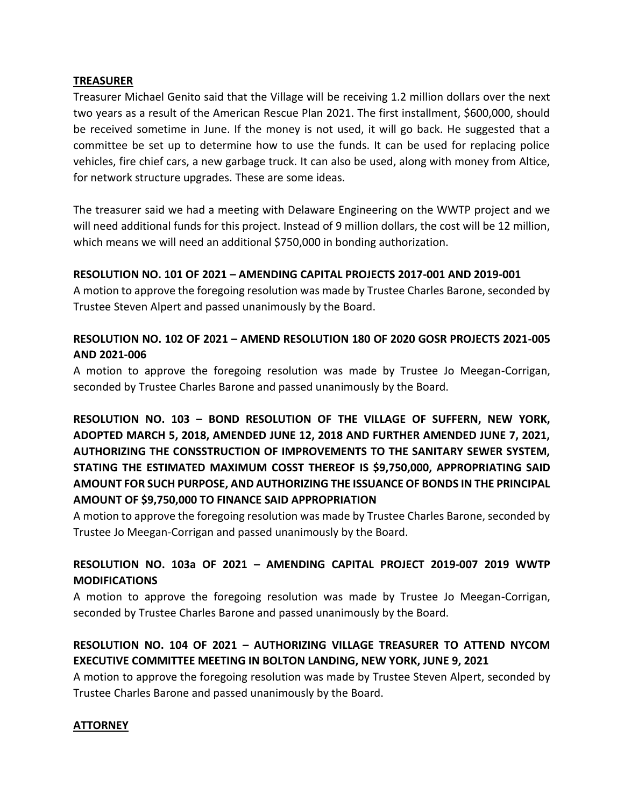#### **TREASURER**

Treasurer Michael Genito said that the Village will be receiving 1.2 million dollars over the next two years as a result of the American Rescue Plan 2021. The first installment, \$600,000, should be received sometime in June. If the money is not used, it will go back. He suggested that a committee be set up to determine how to use the funds. It can be used for replacing police vehicles, fire chief cars, a new garbage truck. It can also be used, along with money from Altice, for network structure upgrades. These are some ideas.

The treasurer said we had a meeting with Delaware Engineering on the WWTP project and we will need additional funds for this project. Instead of 9 million dollars, the cost will be 12 million, which means we will need an additional \$750,000 in bonding authorization.

#### **RESOLUTION NO. 101 OF 2021 – AMENDING CAPITAL PROJECTS 2017-001 AND 2019-001**

A motion to approve the foregoing resolution was made by Trustee Charles Barone, seconded by Trustee Steven Alpert and passed unanimously by the Board.

## **RESOLUTION NO. 102 OF 2021 – AMEND RESOLUTION 180 OF 2020 GOSR PROJECTS 2021-005 AND 2021-006**

A motion to approve the foregoing resolution was made by Trustee Jo Meegan-Corrigan, seconded by Trustee Charles Barone and passed unanimously by the Board.

**RESOLUTION NO. 103 – BOND RESOLUTION OF THE VILLAGE OF SUFFERN, NEW YORK, ADOPTED MARCH 5, 2018, AMENDED JUNE 12, 2018 AND FURTHER AMENDED JUNE 7, 2021, AUTHORIZING THE CONSSTRUCTION OF IMPROVEMENTS TO THE SANITARY SEWER SYSTEM, STATING THE ESTIMATED MAXIMUM COSST THEREOF IS \$9,750,000, APPROPRIATING SAID AMOUNT FOR SUCH PURPOSE, AND AUTHORIZING THE ISSUANCE OF BONDS IN THE PRINCIPAL AMOUNT OF \$9,750,000 TO FINANCE SAID APPROPRIATION**

A motion to approve the foregoing resolution was made by Trustee Charles Barone, seconded by Trustee Jo Meegan-Corrigan and passed unanimously by the Board.

# **RESOLUTION NO. 103a OF 2021 – AMENDING CAPITAL PROJECT 2019-007 2019 WWTP MODIFICATIONS**

A motion to approve the foregoing resolution was made by Trustee Jo Meegan-Corrigan, seconded by Trustee Charles Barone and passed unanimously by the Board.

# **RESOLUTION NO. 104 OF 2021 – AUTHORIZING VILLAGE TREASURER TO ATTEND NYCOM EXECUTIVE COMMITTEE MEETING IN BOLTON LANDING, NEW YORK, JUNE 9, 2021**

A motion to approve the foregoing resolution was made by Trustee Steven Alpert, seconded by Trustee Charles Barone and passed unanimously by the Board.

#### **ATTORNEY**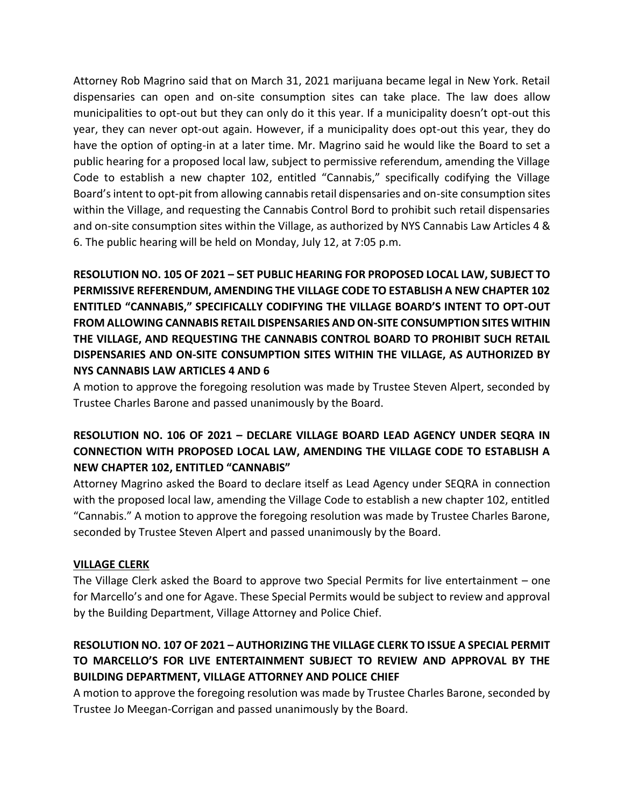Attorney Rob Magrino said that on March 31, 2021 marijuana became legal in New York. Retail dispensaries can open and on-site consumption sites can take place. The law does allow municipalities to opt-out but they can only do it this year. If a municipality doesn't opt-out this year, they can never opt-out again. However, if a municipality does opt-out this year, they do have the option of opting-in at a later time. Mr. Magrino said he would like the Board to set a public hearing for a proposed local law, subject to permissive referendum, amending the Village Code to establish a new chapter 102, entitled "Cannabis," specifically codifying the Village Board's intent to opt-pit from allowing cannabis retail dispensaries and on-site consumption sites within the Village, and requesting the Cannabis Control Bord to prohibit such retail dispensaries and on-site consumption sites within the Village, as authorized by NYS Cannabis Law Articles 4 & 6. The public hearing will be held on Monday, July 12, at 7:05 p.m.

**RESOLUTION NO. 105 OF 2021 – SET PUBLIC HEARING FOR PROPOSED LOCAL LAW, SUBJECT TO PERMISSIVE REFERENDUM, AMENDING THE VILLAGE CODE TO ESTABLISH A NEW CHAPTER 102 ENTITLED "CANNABIS," SPECIFICALLY CODIFYING THE VILLAGE BOARD'S INTENT TO OPT-OUT FROM ALLOWING CANNABIS RETAIL DISPENSARIES AND ON-SITE CONSUMPTION SITES WITHIN THE VILLAGE, AND REQUESTING THE CANNABIS CONTROL BOARD TO PROHIBIT SUCH RETAIL DISPENSARIES AND ON-SITE CONSUMPTION SITES WITHIN THE VILLAGE, AS AUTHORIZED BY NYS CANNABIS LAW ARTICLES 4 AND 6**

A motion to approve the foregoing resolution was made by Trustee Steven Alpert, seconded by Trustee Charles Barone and passed unanimously by the Board.

# **RESOLUTION NO. 106 OF 2021 – DECLARE VILLAGE BOARD LEAD AGENCY UNDER SEQRA IN CONNECTION WITH PROPOSED LOCAL LAW, AMENDING THE VILLAGE CODE TO ESTABLISH A NEW CHAPTER 102, ENTITLED "CANNABIS"**

Attorney Magrino asked the Board to declare itself as Lead Agency under SEQRA in connection with the proposed local law, amending the Village Code to establish a new chapter 102, entitled "Cannabis." A motion to approve the foregoing resolution was made by Trustee Charles Barone, seconded by Trustee Steven Alpert and passed unanimously by the Board.

#### **VILLAGE CLERK**

The Village Clerk asked the Board to approve two Special Permits for live entertainment – one for Marcello's and one for Agave. These Special Permits would be subject to review and approval by the Building Department, Village Attorney and Police Chief.

# **RESOLUTION NO. 107 OF 2021 – AUTHORIZING THE VILLAGE CLERK TO ISSUE A SPECIAL PERMIT TO MARCELLO'S FOR LIVE ENTERTAINMENT SUBJECT TO REVIEW AND APPROVAL BY THE BUILDING DEPARTMENT, VILLAGE ATTORNEY AND POLICE CHIEF**

A motion to approve the foregoing resolution was made by Trustee Charles Barone, seconded by Trustee Jo Meegan-Corrigan and passed unanimously by the Board.